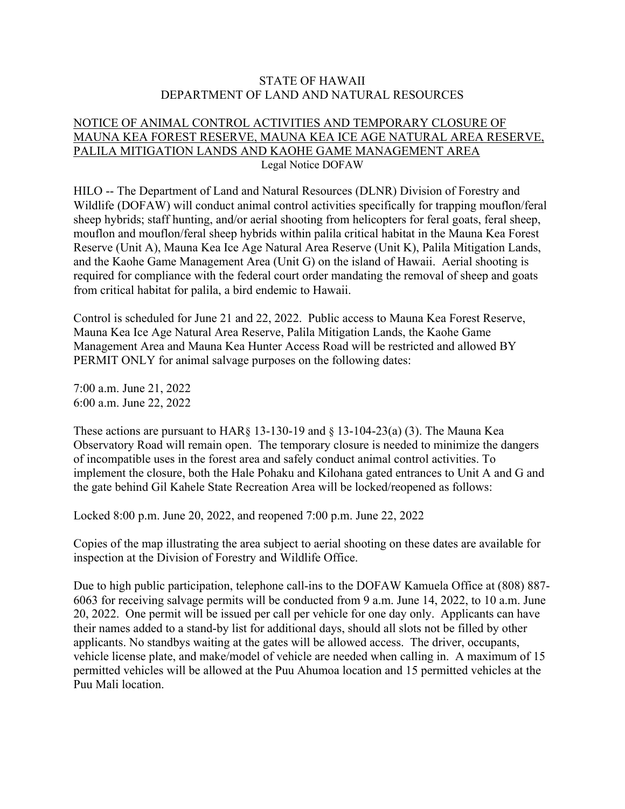## STATE OF HAWAII DEPARTMENT OF LAND AND NATURAL RESOURCES

## NOTICE OF ANIMAL CONTROL ACTIVITIES AND TEMPORARY CLOSURE OF MAUNA KEA FOREST RESERVE, MAUNA KEA ICE AGE NATURAL AREA RESERVE, PALILA MITIGATION LANDS AND KAOHE GAME MANAGEMENT AREA Legal Notice DOFAW

HILO -- The Department of Land and Natural Resources (DLNR) Division of Forestry and Wildlife (DOFAW) will conduct animal control activities specifically for trapping mouflon/feral sheep hybrids; staff hunting, and/or aerial shooting from helicopters for feral goats, feral sheep, mouflon and mouflon/feral sheep hybrids within palila critical habitat in the Mauna Kea Forest Reserve (Unit A), Mauna Kea Ice Age Natural Area Reserve (Unit K), Palila Mitigation Lands, and the Kaohe Game Management Area (Unit G) on the island of Hawaii. Aerial shooting is required for compliance with the federal court order mandating the removal of sheep and goats from critical habitat for palila, a bird endemic to Hawaii.

Control is scheduled for June 21 and 22, 2022. Public access to Mauna Kea Forest Reserve, Mauna Kea Ice Age Natural Area Reserve, Palila Mitigation Lands, the Kaohe Game Management Area and Mauna Kea Hunter Access Road will be restricted and allowed BY PERMIT ONLY for animal salvage purposes on the following dates:

7:00 a.m. June 21, 2022 6:00 a.m. June 22, 2022

These actions are pursuant to  $HAR\S$  13-130-19 and  $\S$  13-104-23(a) (3). The Mauna Kea Observatory Road will remain open. The temporary closure is needed to minimize the dangers of incompatible uses in the forest area and safely conduct animal control activities. To implement the closure, both the Hale Pohaku and Kilohana gated entrances to Unit A and G and the gate behind Gil Kahele State Recreation Area will be locked/reopened as follows:

Locked 8:00 p.m. June 20, 2022, and reopened 7:00 p.m. June 22, 2022

Copies of the map illustrating the area subject to aerial shooting on these dates are available for inspection at the Division of Forestry and Wildlife Office.

Due to high public participation, telephone call-ins to the DOFAW Kamuela Office at (808) 887- 6063 for receiving salvage permits will be conducted from 9 a.m. June 14, 2022, to 10 a.m. June 20, 2022. One permit will be issued per call per vehicle for one day only. Applicants can have their names added to a stand-by list for additional days, should all slots not be filled by other applicants. No standbys waiting at the gates will be allowed access. The driver, occupants, vehicle license plate, and make/model of vehicle are needed when calling in. A maximum of 15 permitted vehicles will be allowed at the Puu Ahumoa location and 15 permitted vehicles at the Puu Mali location.